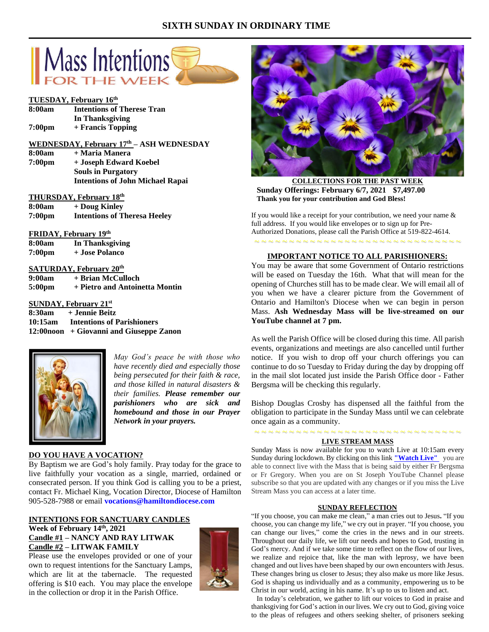# **SIXTH SUNDAY IN ORDINARY TIME**



## **TUESDAY, February 16th**

| 8:00am | <b>Intentions of Therese Tran</b> |
|--------|-----------------------------------|
|        | In Thanksgiving                   |
| 7:00pm | + Francis Topping                 |

# **WEDNESDAY, February 17 th – ASH WEDNESDAY 8:00am + Maria Manera 7:00pm + Joseph Edward Koebel**

**Souls in Purgatory Intentions of John Michael Rapai**

## **THURSDAY, February 18 th**

**8:00am + Doug Kinley 7:00pm Intentions of Theresa Heeley**

# **FRIDAY, February 19 th**

| 8:00am             | <b>In Thanksgiving</b> |
|--------------------|------------------------|
| 7:00 <sub>pm</sub> | + Jose Polanco         |

### **SATURDAY, February 20th**

| 9:00am | + Brian McCulloch              |
|--------|--------------------------------|
| 5:00pm | + Pietro and Antoinetta Montin |

## **SUNDAY, February 21st**

**8:30am + Jennie Beitz 10:15am Intentions of Parishioners 12:00noon + Giovanni and Giuseppe Zanon**



*May God's peace be with those who have recently died and especially those being persecuted for their faith & race, and those killed in natural disasters & their families. Please remember our parishioners who are sick and homebound and those in our Prayer Network in your prayers.*

## **DO YOU HAVE A VOCATION?**

By Baptism we are God's holy family. Pray today for the grace to live faithfully your vocation as a single, married, ordained or consecrated person. If you think God is calling you to be a priest, contact Fr. Michael King, Vocation Director, Diocese of Hamilton 905-528-7988 or email **vocations@hamiltondiocese.com** 

## **INTENTIONS FOR SANCTUARY CANDLES**

## **Week of February 14th, 2021 Candle #1 – NANCY AND RAY LITWAK Candle #2 – LITWAK FAMILY**

Please use the envelopes provided or one of your own to request intentions for the Sanctuary Lamps, which are lit at the tabernacle. The requested offering is \$10 each. You may place the envelope in the collection or drop it in the Parish Office.





**COLLECTIONS FOR THE PAST WEEK Sunday Offerings: February 6/7, 2021 \$7,497.00 Thank you for your contribution and God Bless!**

If you would like a receipt for your contribution, we need your name & full address. If you would like envelopes or to sign up for Pre-Authorized Donations, please call the Parish Office at 519-822-4614.

### **IMPORTANT NOTICE TO ALL PARISHIONERS:**

~ ~ ~ ~ ~ ~ ~ ~ ~ ~ ~ ~ ~ ~ ~ ~ ~ ~ ~ ~ ~ ~ ~ ~ ~ ~ ~ ~ ~ ~

You may be aware that some Government of Ontario restrictions will be eased on Tuesday the 16th. What that will mean for the opening of Churches still has to be made clear. We will email all of you when we have a clearer picture from the Government of Ontario and Hamilton's Diocese when we can begin in person Mass. **Ash Wednesday Mass will be live-streamed on our YouTube channel at 7 pm.**

As well the Parish Office will be closed during this time. All parish events, organizations and meetings are also cancelled until further notice. If you wish to drop off your church offerings you can continue to do so Tuesday to Friday during the day by dropping off in the mail slot located just inside the Parish Office door - Father Bergsma will be checking this regularly.

Bishop Douglas Crosby has dispensed all the faithful from the obligation to participate in the Sunday Mass until we can celebrate once again as a community.

## ~ ~ ~ ~ ~ ~ ~ ~ ~ ~ ~ ~ ~ ~ ~ ~ ~ ~ ~ ~ ~ ~ ~ ~ ~ ~ ~ ~ ~ ~ **LIVE STREAM MASS**

Sunday Mass is now available for you to watch Live at 10:15am every Sunday during lockdown. By clicking on this link **["Watch](https://www.youtube.com/channel/UCL59hxegD__FDJSdMDrt31w) Live"** you are able to connect live with the Mass that is being said by either Fr Bergsma or Fr Gregory. When you are on St Joseph YouTube Channel please subscribe so that you are updated with any changes or if you miss the Live Stream Mass you can access at a later time.

### **SUNDAY REFLECTION**

"If you choose, you can make me clean," a man cries out to Jesus**.** "If you choose, you can change my life," we cry out in prayer. "If you choose, you can change our lives," come the cries in the news and in our streets. Throughout our daily life, we lift our needs and hopes to God, trusting in God's mercy. And if we take some time to reflect on the flow of our lives, we realize and rejoice that, like the man with leprosy, we have been changed and out lives have been shaped by our own encounters with Jesus. These changes bring us closer to Jesus; they also make us more like Jesus. God is shaping us individually and as a community, empowering us to be Christ in our world, acting in his name. It's up to us to listen and act.

 In today's celebration, we gather to lift our voices to God in praise and thanksgiving for God's action in our lives. We cry out to God, giving voice to the pleas of refugees and others seeking shelter, of prisoners seeking